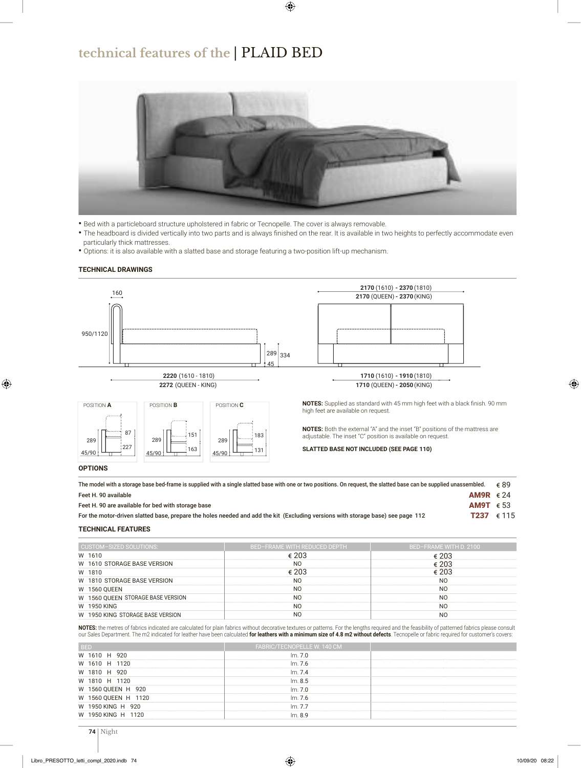### **technical features of the** | PLAID BED



- Bed with a particleboard structure upholstered in fabric or Tecnopelle. The cover is always removable.
- The headboard is divided vertically into two parts and is always finished on the rear. It is available in two heights to perfectly accommodate even particularly thick mattresses.
- Options: it is also available with a slatted base and storage featuring a two-position lift-up mechanism.

### **TECHNICAL DRAWINGS**



| The model with a storage base bed-frame is supplied with a single slatted base with one or two positions. On request, the slatted base can be supplied unassembled. |                    | € 89 |
|---------------------------------------------------------------------------------------------------------------------------------------------------------------------|--------------------|------|
| Feet H. 90 available                                                                                                                                                | AM9R $\epsilon$ 24 |      |
| Feet H. 90 are available for bed with storage base                                                                                                                  | AM9T $\epsilon$ 53 |      |
| For the motor-driven slatted base, prepare the holes needed and add the kit (Excluding versions with storage base) see page 112                                     | T237 € 115         |      |
|                                                                                                                                                                     |                    |      |

#### **TECHNICAL FEATURES**

| CUSTOM-SIZED SOLUTIONS:           | BED-FRAME WITH REDUCED DEPTH | BED-FRAME WITH D. 2100 |  |  |  |
|-----------------------------------|------------------------------|------------------------|--|--|--|
| W 1610                            | € 203                        | € 203                  |  |  |  |
| W 1610 STORAGE BASE VERSION       | N <sub>O</sub>               | € 203                  |  |  |  |
| W 1810                            | € 203                        | € 203                  |  |  |  |
| W 1810 STORAGE BASE VERSION       | N <sub>O</sub>               | N <sub>O</sub>         |  |  |  |
| <b>W 1560 QUEEN</b>               | N <sub>O</sub>               | N <sub>O</sub>         |  |  |  |
| W 1560 OUEEN STORAGE BASE VERSION | N <sub>O</sub>               | N <sub>O</sub>         |  |  |  |
| W 1950 KING                       | N <sub>O</sub>               | N <sub>O</sub>         |  |  |  |
| W 1950 KING STORAGE BASE VERSION  | N <sub>O</sub>               | N <sub>O</sub>         |  |  |  |

**NOTES:** the metres of fabrics indicated are calculated for plain fabrics without decorative textures or patterns. For the lengths required and the feasibility of patterned fabrics please consult our Sales Department. The m2 indicated for leather have been calculated **for leathers with a minimum size of 4.8 m2 without defects**. Tecnopelle or fabric required for customer's covers:

| <b>BED</b>          | FABRIC/TECNOPELLE W. 140 CM |
|---------------------|-----------------------------|
| W 1610 H 920        | Im. 7.0                     |
| W 1610 H 1120       | Im. 7.6                     |
| W 1810 H 920        | Im.7.4                      |
| W 1810 H 1120       | Im. 8.5                     |
| W 1560 QUEEN H 920  | Im. 7.0                     |
| W 1560 QUEEN H 1120 | Im. 7.6                     |
| W 1950 KING H 920   | Im. 7.7                     |
| W 1950 KING H 1120  | Im. 8.9                     |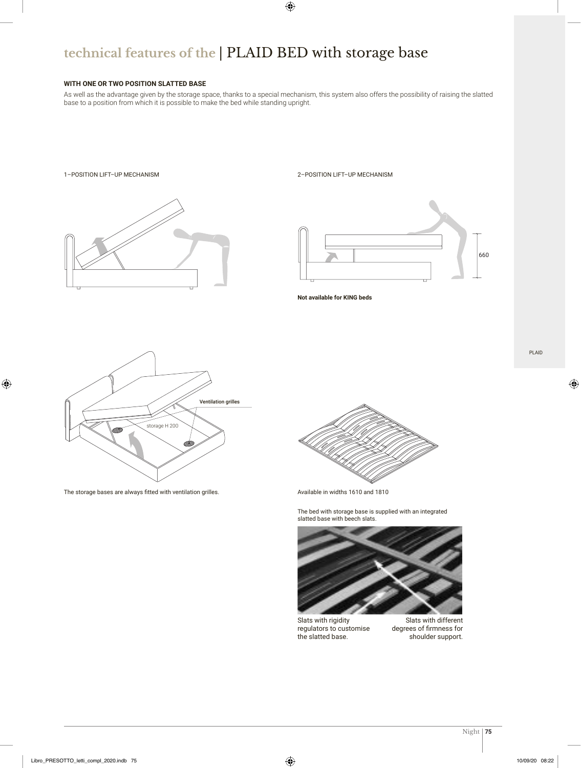# **technical features of the** | PLAID BED with storage base

### **WITH ONE OR TWO POSITION SLATTED BASE**

As well as the advantage given by the storage space, thanks to a special mechanism, this system also offers the possibility of raising the slatted base to a position from which it is possible to make the bed while standing upright.

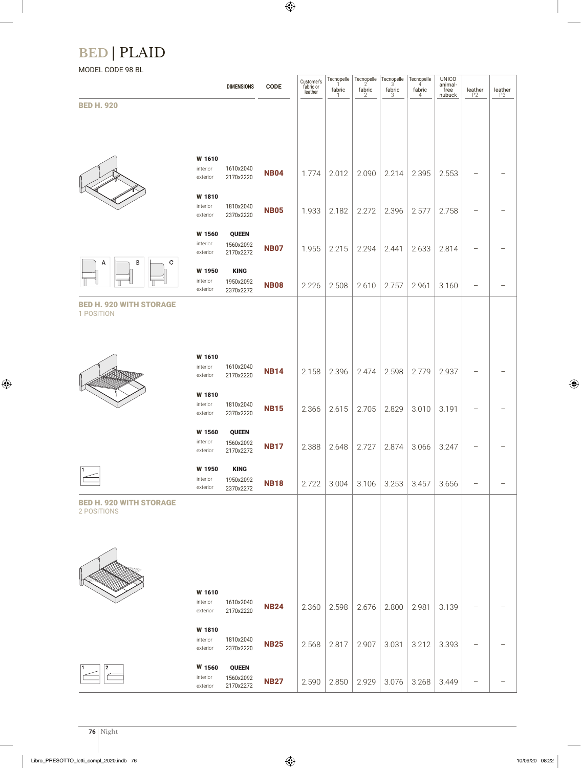## **BED** | PLAID

MODEL CODE 98 BL

|                                               |                                | <b>DIMENSIONS</b>                      | <b>CODE</b> | Customer's<br>fabric or<br>leather | Tecnopelle<br>fabric<br>-1 | Tecnopelle<br>$\frac{2}{3}$<br>$\frac{\mathsf{f} \mathsf{abric}}{2}$ | $\text{Tecnopelle} \atop 3$<br>fabric<br>3 | Tecnopelle<br>4<br>fabric<br>$\overline{4}$ | <b>UNICO</b><br>animal-<br>free<br>nubuck | $\underset{\mathsf{P2}}{\mathsf{leather}}$ | $\underset{\mathsf{P3}}{\mathsf{leather}}$ |
|-----------------------------------------------|--------------------------------|----------------------------------------|-------------|------------------------------------|----------------------------|----------------------------------------------------------------------|--------------------------------------------|---------------------------------------------|-------------------------------------------|--------------------------------------------|--------------------------------------------|
| <b>BED H. 920</b>                             |                                |                                        |             |                                    |                            |                                                                      |                                            |                                             |                                           |                                            |                                            |
|                                               |                                |                                        |             |                                    |                            |                                                                      |                                            |                                             |                                           |                                            |                                            |
|                                               |                                |                                        |             |                                    |                            |                                                                      |                                            |                                             |                                           |                                            |                                            |
|                                               | W 1610<br>interior<br>exterior | 1610x2040<br>2170x2220                 | <b>NB04</b> | 1.774                              | 2.012                      | 2.090                                                                | 2.214                                      | 2.395                                       | 2.553                                     |                                            |                                            |
|                                               | W 1810<br>interior<br>exterior | 1810x2040<br>2370x2220                 | <b>NB05</b> | 1.933                              | 2.182                      | 2.272                                                                | 2.396                                      | 2.577                                       | 2.758                                     |                                            |                                            |
|                                               | W 1560<br>interior<br>exterior | QUEEN<br>1560x2092<br>2170x2272        | <b>NB07</b> | 1.955                              | 2.215                      | 2.294                                                                | 2.441                                      | 2.633                                       | 2.814                                     |                                            |                                            |
| B<br>с<br>Α                                   | W 1950<br>interior<br>exterior | <b>KING</b><br>1950x2092<br>2370x2272  | <b>NB08</b> | 2.226                              | 2.508                      | 2.610                                                                | 2.757                                      | 2.961                                       | 3.160                                     |                                            |                                            |
| <b>BED H. 920 WITH STORAGE</b><br>1 POSITION  |                                |                                        |             |                                    |                            |                                                                      |                                            |                                             |                                           |                                            |                                            |
|                                               |                                |                                        |             |                                    |                            |                                                                      |                                            |                                             |                                           |                                            |                                            |
|                                               | W 1610<br>interior<br>exterior | 1610x2040<br>2170x2220                 | <b>NB14</b> | 2.158                              | 2.396                      | 2.474                                                                | 2.598                                      | 2.779                                       | 2.937                                     |                                            |                                            |
|                                               | W 1810<br>interior<br>exterior | 1810x2040<br>2370x2220                 | <b>NB15</b> | 2.366                              | 2.615                      | 2.705                                                                | 2.829                                      | 3.010                                       | 3.191                                     |                                            |                                            |
|                                               | W 1560<br>interior<br>exterior | <b>QUEEN</b><br>1560x2092<br>2170x2272 | <b>NB17</b> | 2.388                              | 2.648                      | 2.727                                                                | 2.874                                      | 3.066                                       | 3.247                                     |                                            |                                            |
|                                               | W 1950<br>interior<br>exterior | <b>KING</b><br>1950x2092<br>2370x2272  | <b>NB18</b> | 2.722                              | 3.004                      | 3.106                                                                | 3.253                                      | 3.457                                       | 3.656                                     |                                            |                                            |
| <b>BED H. 920 WITH STORAGE</b><br>2 POSITIONS |                                |                                        |             |                                    |                            |                                                                      |                                            |                                             |                                           |                                            |                                            |
|                                               |                                |                                        |             |                                    |                            |                                                                      |                                            |                                             |                                           |                                            |                                            |
|                                               | W 1610<br>interior<br>exterior | 1610x2040<br>2170x2220                 | <b>NB24</b> | 2.360                              | 2.598                      | 2.676                                                                | 2.800                                      | 2.981                                       | 3.139                                     |                                            |                                            |
|                                               | W 1810<br>interior<br>exterior | 1810x2040<br>2370x2220                 | <b>NB25</b> | 2.568                              | 2.817                      | 2.907                                                                | 3.031                                      | 3.212                                       | 3.393                                     |                                            |                                            |
| 2                                             | W 1560<br>interior<br>exterior | <b>QUEEN</b><br>1560x2092<br>2170x2272 | <b>NB27</b> | 2.590                              | 2.850                      | 2.929                                                                | 3.076                                      | 3.268                                       | 3.449                                     |                                            |                                            |